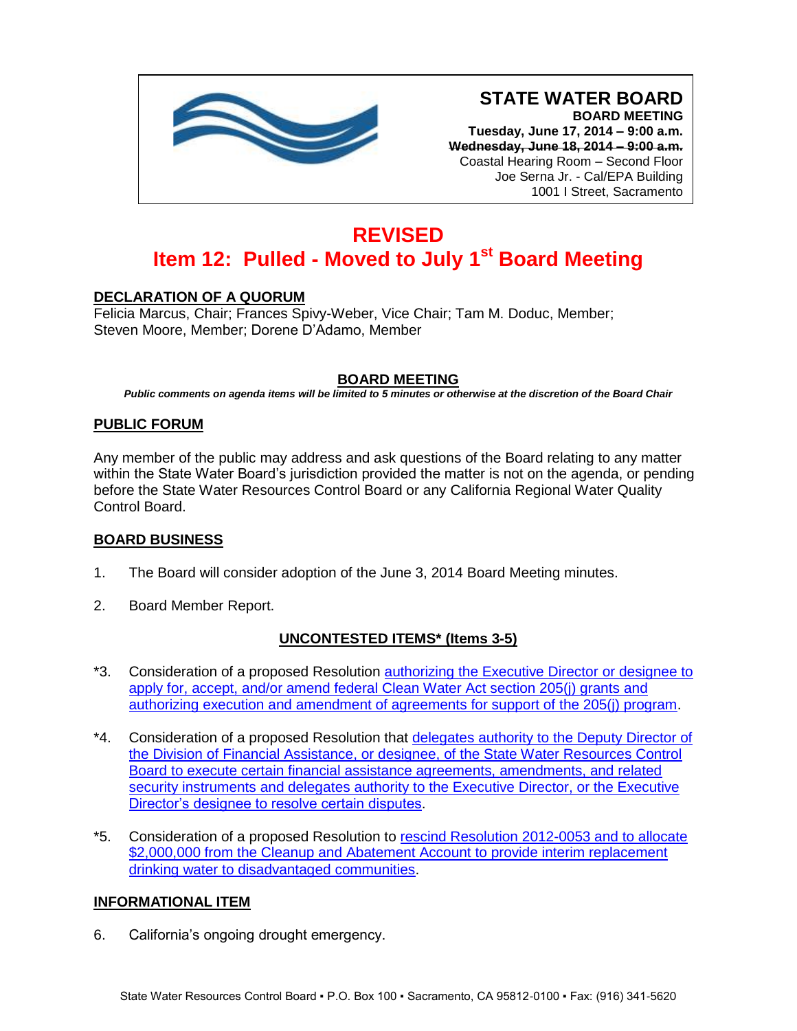

**Tuesday, June 17, 2014 – 9:00 a.m. Wednesday, June 18, 2014 – 9:00 a.m.** Coastal Hearing Room – Second Floor Joe Serna Jr. - Cal/EPA Building 1001 I Street, Sacramento

# **REVISED Item 12: Pulled - Moved to July 1st Board Meeting**

## **DECLARATION OF A QUORUM**

Felicia Marcus, Chair; Frances Spivy-Weber, Vice Chair; Tam M. Doduc, Member; Steven Moore, Member; Dorene D'Adamo, Member

## **BOARD MEETING**

*Public comments on agenda items will be limited to 5 minutes or otherwise at the discretion of the Board Chair*

#### **PUBLIC FORUM**

Any member of the public may address and ask questions of the Board relating to any matter within the State Water Board's jurisdiction provided the matter is not on the agenda, or pending before the State Water Resources Control Board or any California Regional Water Quality Control Board.

#### **BOARD BUSINESS**

- 1. The Board will consider adoption of the June 3, 2014 Board Meeting minutes.
- 2. Board Member Report.

## **UNCONTESTED ITEMS\* (Items 3-5)**

- \*3. Consideration of a proposed Resolution authorizing the Executive Director or designee to apply for, accept, and/or amend federal [Clean Water Act section 205\(j\) grants and](http://www.waterboards.ca.gov/board_info/agendas/2014/jun/061714_3.pdf)  [authorizing execution and amendment of agreements for support of the 205\(j\) program.](http://www.waterboards.ca.gov/board_info/agendas/2014/jun/061714_3.pdf)
- \*4. Consideration of a proposed Resolution that [delegates authority to the Deputy Director of](http://www.waterboards.ca.gov/board_info/agendas/2014/jun/061714_4.pdf)  [the Division of Financial Assistance, or designee, of the State Water Resources Control](http://www.waterboards.ca.gov/board_info/agendas/2014/jun/061714_4.pdf)  [Board to execute certain financial assistance agreements, amendments, and related](http://www.waterboards.ca.gov/board_info/agendas/2014/jun/061714_4.pdf)  [security instruments and delegates authority to the Executive Director, or the Executive](http://www.waterboards.ca.gov/board_info/agendas/2014/jun/061714_4.pdf)  [Director's designee to resolve certain disputes.](http://www.waterboards.ca.gov/board_info/agendas/2014/jun/061714_4.pdf)
- \*5. Consideration of a proposed Resolution to [rescind Resolution 2012-0053 and to allocate](http://www.waterboards.ca.gov/board_info/agendas/2014/jun/061714_5.pdf)  \$2,000,000 from the Cleanup and Abatement Account to provide interim replacement [drinking water to disadvantaged communities.](http://www.waterboards.ca.gov/board_info/agendas/2014/jun/061714_5.pdf)

#### **INFORMATIONAL ITEM**

6. California's ongoing drought emergency.